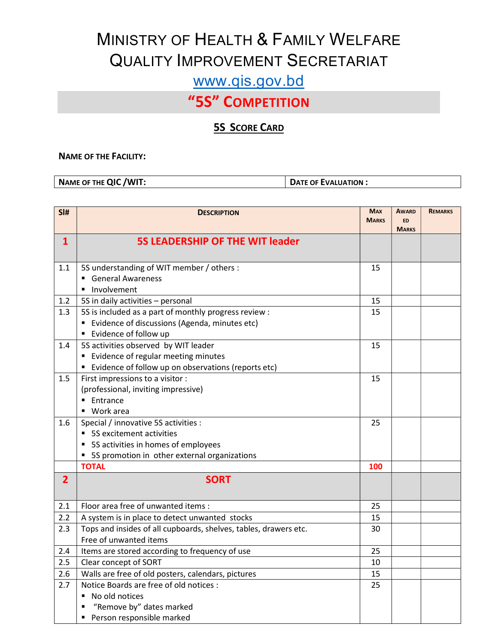# MINISTRY OF HEALTH & FAMILY WELFARE QUALITY IMPROVEMENT SECRETARIAT

### www.qis.gov.bd

## "5S" COMPETITION

#### **5S SCORE CARD**

#### NAME OF THE FACILITY:

NAME OF THE QIC / WIT: DATE OF EVALUATION :

| SI#            | <b>DESCRIPTION</b>                                                                                                                                            | <b>MAX</b><br><b>MARKS</b> | <b>AWARD</b><br><b>ED</b> | <b>REMARKS</b> |
|----------------|---------------------------------------------------------------------------------------------------------------------------------------------------------------|----------------------------|---------------------------|----------------|
|                |                                                                                                                                                               |                            | <b>MARKS</b>              |                |
| $\mathbf{1}$   | <b>5S LEADERSHIP OF THE WIT leader</b>                                                                                                                        |                            |                           |                |
| 1.1            | 5S understanding of WIT member / others :<br><b>General Awareness</b><br>· Involvement                                                                        | 15                         |                           |                |
| 1.2            | 5S in daily activities - personal                                                                                                                             | 15                         |                           |                |
| 1.3            | 5S is included as a part of monthly progress review :<br>" Evidence of discussions (Agenda, minutes etc)<br>■ Evidence of follow up                           | 15                         |                           |                |
| 1.4            | 5S activities observed by WIT leader<br>" Evidence of regular meeting minutes<br>Evidence of follow up on observations (reports etc)                          | 15                         |                           |                |
| 1.5            | First impressions to a visitor :<br>(professional, inviting impressive)<br>■ Entrance<br>Work area<br>$\blacksquare$                                          | 15                         |                           |                |
| 1.6            | Special / innovative 5S activities :<br>• 5S excitement activities<br>• 5S activities in homes of employees<br>• 5S promotion in other external organizations | 25                         |                           |                |
|                | <b>TOTAL</b>                                                                                                                                                  | 100                        |                           |                |
| $\overline{2}$ | <b>SORT</b>                                                                                                                                                   |                            |                           |                |
| 2.1            | Floor area free of unwanted items :                                                                                                                           | 25                         |                           |                |
| 2.2            | A system is in place to detect unwanted stocks                                                                                                                | 15                         |                           |                |
| 2.3            | Tops and insides of all cupboards, shelves, tables, drawers etc.<br>Free of unwanted items                                                                    | 30                         |                           |                |
| 2.4            | Items are stored according to frequency of use                                                                                                                | 25                         |                           |                |
| 2.5            | Clear concept of SORT                                                                                                                                         | 10                         |                           |                |
| 2.6            | Walls are free of old posters, calendars, pictures                                                                                                            | 15                         |                           |                |
| 2.7            | Notice Boards are free of old notices :<br>No old notices<br>$\blacksquare$<br>"Remove by" dates marked<br>Person responsible marked<br>Ξ                     | 25                         |                           |                |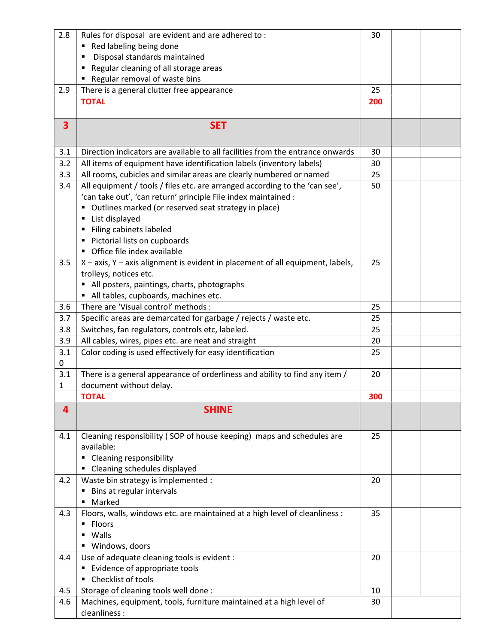| 2.8 | Rules for disposal are evident and are adhered to:                             | 30  |  |
|-----|--------------------------------------------------------------------------------|-----|--|
|     | Red labeling being done                                                        |     |  |
|     | Disposal standards maintained                                                  |     |  |
|     | Regular cleaning of all storage areas                                          |     |  |
|     | Regular removal of waste bins                                                  |     |  |
| 2.9 | There is a general clutter free appearance                                     | 25  |  |
|     | <b>TOTAL</b>                                                                   | 200 |  |
|     |                                                                                |     |  |
| 3   | <b>SET</b>                                                                     |     |  |
|     |                                                                                |     |  |
| 3.1 | Direction indicators are available to all facilities from the entrance onwards | 30  |  |
| 3.2 | All items of equipment have identification labels (inventory labels)           | 30  |  |
| 3.3 | All rooms, cubicles and similar areas are clearly numbered or named            | 25  |  |
| 3.4 | All equipment / tools / files etc. are arranged according to the 'can see',    | 50  |  |
|     | 'can take out', 'can return' principle File index maintained :                 |     |  |
|     | Outlines marked (or reserved seat strategy in place)                           |     |  |
|     | List displayed                                                                 |     |  |
|     | Filing cabinets labeled                                                        |     |  |
|     | Pictorial lists on cupboards                                                   |     |  |
|     | • Office file index available                                                  |     |  |
| 3.5 | X - axis, Y - axis alignment is evident in placement of all equipment, labels, | 25  |  |
|     | trolleys, notices etc.                                                         |     |  |
|     | All posters, paintings, charts, photographs                                    |     |  |
|     | All tables, cupboards, machines etc.                                           |     |  |
| 3.6 | There are 'Visual control' methods :                                           | 25  |  |
| 3.7 |                                                                                | 25  |  |
|     | Specific areas are demarcated for garbage / rejects / waste etc.               |     |  |
| 3.8 | Switches, fan regulators, controls etc, labeled.                               | 25  |  |
| 3.9 | All cables, wires, pipes etc. are neat and straight                            | 20  |  |
| 3.1 | Color coding is used effectively for easy identification                       | 25  |  |
| 0   |                                                                                |     |  |
| 3.1 | There is a general appearance of orderliness and ability to find any item /    | 20  |  |
| 1   | document without delay.                                                        |     |  |
|     | <b>TOTAL</b>                                                                   | 300 |  |
| 4   | <b>SHINE</b>                                                                   |     |  |
|     |                                                                                |     |  |
| 4.1 | Cleaning responsibility (SOP of house keeping) maps and schedules are          | 25  |  |
|     | available:                                                                     |     |  |
|     | • Cleaning responsibility                                                      |     |  |
|     | • Cleaning schedules displayed                                                 |     |  |
| 4.2 | Waste bin strategy is implemented :                                            | 20  |  |
|     | Bins at regular intervals                                                      |     |  |
|     | Marked                                                                         |     |  |
| 4.3 | Floors, walls, windows etc. are maintained at a high level of cleanliness :    | 35  |  |
|     | Floors<br>٠                                                                    |     |  |
|     | Walls<br>٠                                                                     |     |  |
|     | ■ Windows, doors                                                               |     |  |
| 4.4 | Use of adequate cleaning tools is evident :                                    | 20  |  |
|     | ■ Evidence of appropriate tools                                                |     |  |
|     | • Checklist of tools                                                           |     |  |
| 4.5 | Storage of cleaning tools well done :                                          | 10  |  |
| 4.6 | Machines, equipment, tools, furniture maintained at a high level of            | 30  |  |
|     | cleanliness :                                                                  |     |  |
|     |                                                                                |     |  |